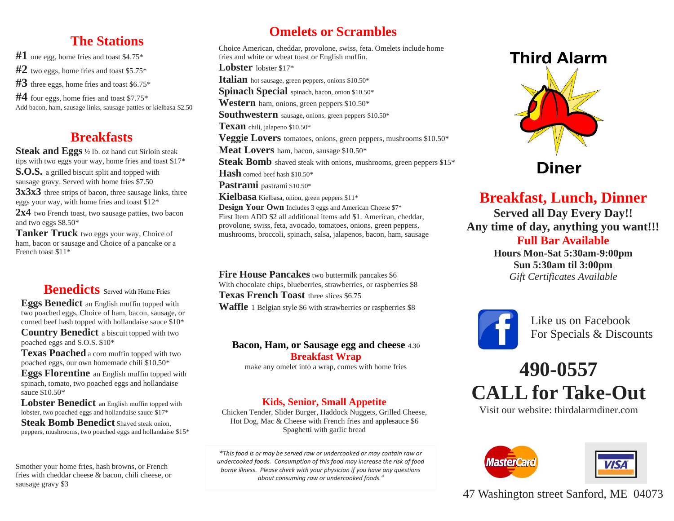# **The Stations**

**#1** one egg, home fries and toast \$4.75\* **#2** two eggs, home fries and toast \$5.75\* **#3** three eggs, home fries and toast \$6.75\* **#4** four eggs, home fries and toast \$7.75\* Add bacon, ham, sausage links, sausage patties or kielbasa \$2.50

# **Breakfasts**

**Steak and Eggs** ½ lb. oz hand cut Sirloin steak tips with two eggs your way, home fries and toast \$17\*

**S.O.S.** a grilled biscuit split and topped with sausage gravy. Served with home fries \$7.50

 $eggs$  your way, with home fries and toast \$12\* **3x3x3** three strips of bacon, three sausage links, three

2x4 two French toast, two sausage patties, two bacon and two eggs \$8.50\*

**Tanker Truck** two eggs your way, Choice of ham, bacon or sausage and Choice of a pancake or a French toast \$11\*

# **Benedicts** Served with Home Fries

**Eggs Benedict** an English muffin topped with two poached eggs, Choice of ham, bacon, sausage, or corned beef hash topped with hollandaise sauce \$10\* **Country Benedict** a biscuit topped with two poached eggs and S.O.S. \$10\*

**Texas Poached** a corn muffin topped with two poached eggs, our own homemade chili \$10.50\*

**Eggs Florentine** an English muffin topped with spinach, tomato, two poached eggs and hollandaise sauce \$10.50\*

**Lobster Benedict** an English muffin topped with lobster, two poached eggs and hollandaise sauce \$17\*

**Steak Bomb Benedict** Shaved steak onion. peppers, mushrooms, two poached eggs and hollandaise \$15\*

Smother your home fries, hash browns, or French fries with cheddar cheese & bacon, chili cheese, or sausage gravy \$3

# **Omelets or Scrambles**

Choice American, cheddar, provolone, swiss, feta. Omelets include home fries and white or wheat toast or English muffin. **Lobster** lobster \$17\* **Italian** hot sausage, green peppers, onions \$10.50\* **Spinach Special** spinach, bacon, onion \$10.50\* **Western** ham, onions, green peppers \$10.50\* **Southwestern** sausage, onions, green peppers \$10.50\* **Texan** chili, jalapeno \$10.50\* **Veggie Lovers** tomatoes, onions, green peppers, mushrooms \$10.50\* **Meat Lovers** ham, bacon, sausage \$10.50\* **Steak Bomb** shaved steak with onions, mushrooms, green peppers \$15\* **Hash** corned beef hash \$10.50\* Pastrami pastrami \$10.50\* **Kielbasa** Kielbasa, onion, green peppers \$11\* **Design Your Own** Includes 3 eggs and American Cheese \$7\* First Item ADD \$2 all additional items add \$1. American, cheddar, provolone, swiss, feta, avocado, tomatoes, onions, green peppers, mushrooms, broccoli, spinach, salsa, jalapenos, bacon, ham, sausage

**Fire House Pancakes** two buttermilk pancakes \$6 With chocolate chips, blueberries, strawberries, or raspberries \$8 **Texas French Toast** three slices \$6.75 **Waffle** 1 Belgian style \$6 with strawberries or raspberries \$8

#### **Bacon, Ham, or Sausage egg and cheese** 4.30 **Breakfast Wrap**

make any omelet into a wrap, comes with home fries

#### **Kids, Senior, Small Appetite**

Chicken Tender, Slider Burger, Haddock Nuggets, Grilled Cheese, Hot Dog, Mac & Cheese with French fries and applesauce \$6 Spaghetti with garlic bread

*\*This food is or may be served raw or undercooked or may contain raw or undercooked foods. Consumption of this food may increase the risk of food borne illness. Please check with your physician if you have any questions about consuming raw or undercooked foods."*



68 **Breakfast, Lunch, Dinner Served all Day Every Day!! Any time of day, anything you want!!! Full Bar Available Hours Mon-Sat 5:30am-9:00pm Sun 5:30am til 3:00pm** *Gift Certificates Available*



Like us on Facebook For Specials & Discounts

# **490-0557 CALL for Take-Out**

Visit our website: thirdalarmdiner.com



47 Washington street Sanford, ME 04073